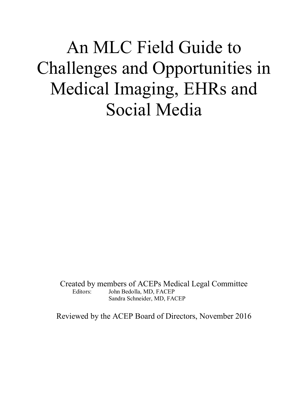# An MLC Field Guide to Challenges and Opportunities in Medical Imaging, EHRs and Social Media

Created by members of ACEPs Medical Legal Committee Editors: John Bedolla, MD, FACEP Sandra Schneider, MD, FACEP

Reviewed by the ACEP Board of Directors, November 2016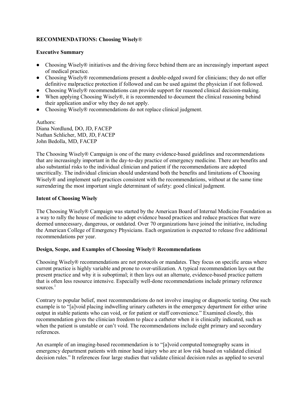# **RECOMMENDATIONS: Choosing Wisely**®

#### **Executive Summary**

- Choosing Wisely® initiatives and the driving force behind them are an increasingly important aspect of medical practice.
- Choosing Wisely® recommendations present a double-edged sword for clinicians; they do not offer definitive malpractice protection if followed and can be used against the physician if not followed.
- Choosing Wisely® recommendations can provide support for reasoned clinical decision-making.
- When applying Choosing Wisely®, it is recommended to document the clinical reasoning behind their application and/or why they do not apply.
- Choosing Wisely® recommendations do not replace clinical judgment.

Authors: Diana Nordlund, DO, JD, FACEP Nathan Schlicher, MD, JD, FACEP John Bedolla, MD, FACEP

The Choosing Wisely® Campaign is one of the many evidence-based guidelines and recommendations that are increasingly important in the day-to-day practice of emergency medicine. There are benefits and also substantial risks to the individual clinician and patient if the recommendations are adopted uncritically. The individual clinician should understand both the benefits and limitations of Choosing Wisely® and implement safe practices consistent with the recommendations, without at the same time surrendering the most important single determinant of safety: good clinical judgment.

# **Intent of Choosing Wisely**

The Choosing Wisely® Campaign was started by the American Board of Internal Medicine Foundation as a way to rally the house of medicine to adopt evidence based practices and reduce practices that were deemed unnecessary, dangerous, or outdated. Over 70 organizations have joined the initiative, including the American College of Emergency Physicians. Each organization is expected to release five additional recommendations per year.

#### **Design, Scope, and Examples of Choosing Wisely**® **Recommendations**

Choosing Wisely® recommendations are not protocols or mandates. They focus on specific areas where current practice is highly variable and prone to over-utilization. A typical recommendation lays out the present practice and why it is suboptimal; it then lays out an alternate, evidence-based practice pattern that is often less resource intensive. Especially well-done recommendations include primary reference sources.<sup>1</sup>

Contrary to popular belief, most recommendations do not involve imaging or diagnostic testing. One such example is to "[a]void placing indwelling urinary catheters in the emergency department for either urine output in stable patients who can void, or for patient or staff convenience." Examined closely, this recommendation gives the clinician freedom to place a catheter when it is clinically indicated, such as when the patient is unstable or can't void. The recommendations include eight primary and secondary references.

An example of an imaging-based recommendation is to "[a]void computed tomography scans in emergency department patients with minor head injury who are at low risk based on validated clinical decision rules." It references four large studies that validate clinical decision rules as applied to several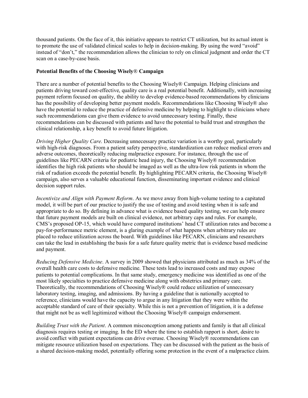thousand patients. On the face of it, this initiative appears to restrict CT utilization, but its actual intent is to promote the use of validated clinical scales to help in decision-making. By using the word "avoid" instead of "don't," the recommendation allows the clinician to rely on clinical judgment and order the CT scan on a case-by-case basis.

#### **Potential Benefits of the Choosing Wisely**® **Campaign**

There are a number of potential benefits to the Choosing Wisely® Campaign. Helping clinicians and patients driving toward cost-effective, quality care is a real potential benefit. Additionally, with increasing payment reform focused on quality, the ability to develop evidence-based recommendations by clinicians has the possibility of developing better payment models. Recommendations like Choosing Wisely® also have the potential to reduce the practice of defensive medicine by helping to highlight to clinicians where such recommendations can give them evidence to avoid unnecessary testing. Finally, these recommendations can be discussed with patients and have the potential to build trust and strengthen the clinical relationship, a key benefit to avoid future litigation.

*Driving Higher Quality Care*. Decreasing unnecessary practice variation is a worthy goal, particularly with high-risk diagnoses. From a patient safety perspective, standardization can reduce medical errors and adverse outcomes, theoretically reducing malpractice exposure. For instance, through the use of guidelines like PECARN criteria for pediatric head injury, the Choosing Wisely® recommendation identifies the high risk patients who should be imaged as well as the ultra-low risk patients in whom the risk of radiation exceeds the potential benefit. By highlighting PECARN criteria, the Choosing Wisely® campaign, also serves a valuable educational function, disseminating important evidence and clinical decision support rules.

*Incentivize and Align with Payment Reform*. As we move away from high-volume testing to a capitated model, it will be part of our practice to justify the use of testing and avoid testing when it is safe and appropriate to do so. By defining in advance what is evidence based quality testing, we can help ensure that future payment models are built on clinical evidence, not arbitrary caps and rules. For example, CMS's proposed OP-15, which would have compared institutions' head CT utilization rates and become a pay-for-performance metric element, is a glaring example of what happens when arbitrary rules are placed to reduce utilization across the board. With guidelines like PECARN, clinicians and researchers can take the lead in establishing the basis for a safe future quality metric that is evidence based medicine and payment.

*Reducing Defensive Medicine*. A survey in 2009 showed that physicians attributed as much as 34% of the overall health care costs to defensive medicine. These tests lead to increased costs and may expose patients to potential complications. In that same study, emergency medicine was identified as one of the most likely specialties to practice defensive medicine along with obstetrics and primary care. Theoretically, the recommendations of Choosing Wisely® could reduce utilization of unnecessary laboratory testing, imaging, and admissions. By having a guideline that is nationally accepted to reference, clinicians would have the capacity to argue in any litigation that they were within the acceptable standard of care of their specialty. While this is not a prevention of litigation, it is a defense that might not be as well legitimized without the Choosing Wisely® campaign endorsement.

*Building Trust with the Patient*. A common misconception among patients and family is that all clinical diagnosis requires testing or imaging. In the ED where the time to establish rapport is short, desire to avoid conflict with patient expectations can drive overuse. Choosing Wisely® recommendations can mitigate resource utilization based on expectations. They can be discussed with the patient as the basis of a shared decision-making model, potentially offering some protection in the event of a malpractice claim.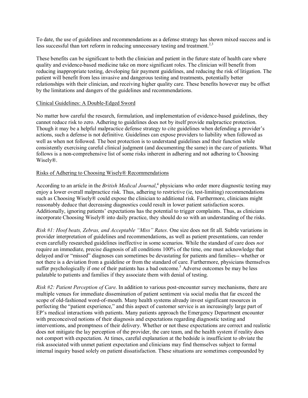To date, the use of guidelines and recommendations as a defense strategy has shown mixed success and is less successful than tort reform in reducing unnecessary testing and treatment.<sup>2,3</sup>

These benefits can be significant to both the clinician and patient in the future state of health care where quality and evidence-based medicine take on more significant roles. The clinician will benefit from reducing inappropriate testing, developing fair payment guidelines, and reducing the risk of litigation. The patient will benefit from less invasive and dangerous testing and treatments, potentially better relationships with their clinician, and receiving higher quality care. These benefits however may be offset by the limitations and dangers of the guidelines and recommendations.

#### Clinical Guidelines: A Double-Edged Sword

No matter how careful the research, formulation, and implementation of evidence-based guidelines, they cannot reduce risk to zero. Adhering to guidelines does not by itself provide malpractice protection. Though it may be a helpful malpractice defense strategy to cite guidelines when defending a provider's actions, such a defense is not definitive. Guidelines can expose providers to liability when followed as well as when not followed. The best protection is to understand guidelines and their function while consistently exercising careful clinical judgment (and documenting the same) in the care of patients. What follows is a non-comprehensive list of some risks inherent in adhering and not adhering to Choosing Wisely®.

#### Risks of Adhering to Choosing Wisely® Recommendations

According to an article in the *British Medical Journal*, <sup>4</sup> physicians who order more diagnostic testing may enjoy a lower overall malpractice risk. Thus, adhering to restrictive (ie, test-limiting) recommendations such as Choosing Wisely® could expose the clinician to additional risk. Furthermore, clinicians might reasonably deduce that decreasing diagnostics could result in lower patient satisfaction scores. Additionally, ignoring patients' expectations has the potential to trigger complaints. Thus, as clinicians incorporate Choosing Wisely® into daily practice, they should do so with an understanding of the risks.

*Risk #1: Hoof beats, Zebras, and Acceptable "Miss" Rates*. One size does not fit all. Subtle variations in provider interpretation of guidelines and recommendations, as well as patient presentations, can render even carefully researched guidelines ineffective in some scenarios. While the standard of care does *not* require an immediate, precise diagnosis of all conditions 100% of the time, one must acknowledge that delayed and/or "missed" diagnoses can sometimes be devastating for patients and families-- whether or not there is a deviation from a guideline or from the standard of care. Furthermore, physicians themselves suffer psychologically if one of their patients has a bad outcome.<sup>5</sup> Adverse outcomes be may be less palatable to patients and families if they associate them with denial of testing.

*Risk #2: Patient Perception of Care*. In addition to various post-encounter survey mechanisms, there are multiple venues for immediate dissemination of patient sentiment via social media that far exceed the scope of old-fashioned word-of-mouth. Many health systems already invest significant resources in perfecting the "patient experience," and this aspect of customer service is an increasingly large part of EP's medical interactions with patients. Many patients approach the Emergency Department encounter with preconceived notions of their diagnosis and expectations regarding diagnostic testing and interventions, and promptness of their delivery. Whether or not these expectations are correct and realistic does not mitigate the lay perception of the provider, the care team, and the health system if reality does not comport with expectation. At times, careful explanation at the bedside is insufficient to obviate the risk associated with unmet patient expectation and clinicians may find themselves subject to formal internal inquiry based solely on patient dissatisfaction. These situations are sometimes compounded by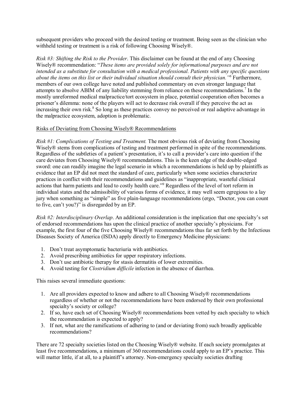subsequent providers who proceed with the desired testing or treatment. Being seen as the clinician who withheld testing or treatment is a risk of following Choosing Wisely®.

*Risk #3: Shifting the Risk to the Provider*. This disclaimer can be found at the end of any Choosing Wisely® recommendation: "*These items are provided solely for informational purposes and are not intended as a substitute for consultation with a medical professional. Patients with any specific questions about the items on this list or their individual situation should consult their physician."6* Furthermore, members of our own college have noted and published commentary on even stronger language that attempts to absolve ABIM of any liability stemming from reliance on these recommendations.<sup>7</sup> In the mostly unreformed medical malpractice/tort ecosystem in place, potential cooperation often becomes a prisoner's dilemma: none of the players will act to decrease risk overall if they perceive the act as  $\frac{1}{2}$  increasing their own risk.<sup>8</sup> So long as these practices convey no perceived or real adaptive advantage in the malpractice ecosystem, adoption is problematic.

#### Risks of Deviating from Choosing Wisely® Recommendations

*Risk #1: Complications of Testing and Treatment.* The most obvious risk of deviating from Choosing Wisely<sup>®</sup> stems from complications of testing and treatment performed in spite of the recommendations. Regardless of the subtleties of a patient's presentation, it's to call a provider's care into question if the care deviates from Choosing Wisely® recommendations. This is the keen edge of the double-edged sword: one can readily imagine the legal scenario in which a recommendations is held up by plaintiffs as evidence that an EP did not meet the standard of care, particularly when some societies characterize practices in conflict with their recommendations and guidelines as "inappropriate, wasteful clinical actions that harm patients and lead to costly health care."9 Regardless of the level of tort reform in individual states and the admissibility of various forms of evidence, it may well seem egregious to a lay jury when something as "simple" as five plain-language recommendations (ergo, "Doctor, you can count to five, can't you?)" is disregarded by an EP.

*Risk #2: Interdisciplinary Overlap*. An additional consideration is the implication that one specialty's set of endorsed recommendations has upon the clinical practice of another specialty's physicians. For example, the first four of the five Choosing Wisely® recommendations thus far set forth by the Infectious Diseases Society of America (ISDA) apply directly to Emergency Medicine physicians:

- 1. Don't treat asymptomatic bacteriuria with antibiotics.
- 2. Avoid prescribing antibiotics for upper respiratory infections.
- 3. Don't use antibiotic therapy for stasis dermatitis of lower extremities.
- 4. Avoid testing for *Clostridium difficile* infection in the absence of diarrhea.

This raises several immediate questions:

- 1. Are all providers expected to know and adhere to all Choosing Wisely® recommendations regardless of whether or not the recommendations have been endorsed by their own professional specialty's society or college?
- 2. If so, have each set of Choosing Wisely® recommendations been vetted by each specialty to which the recommendation is expected to apply?
- 3. If not, what are the ramifications of adhering to (and or deviating from) such broadly applicable recommendations?

There are 72 specialty societies listed on the Choosing Wisely® website. If each society promulgates at least five recommendations, a minimum of 360 recommendations could apply to an EP's practice. This will matter little, if at all, to a plaintiff's attorney. Non-emergency specialty societies drafting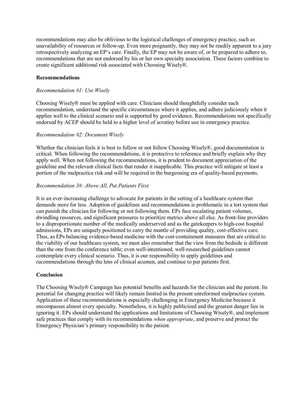recommendations may also be oblivious to the logistical challenges of emergency practice, such as unavailability of resources or follow-up. Even more poignantly, they may not be readily apparent to a jury retrospectively analyzing an EP's care. Finally, the EP may not be aware of, or be prepared to adhere to, recommendations that are not endorsed by his or her own specialty association. These factors combine to create significant additional risk associated with Choosing Wisely®.

#### **Recommendations**

#### *Recommendation #1: Use Wisely*

Choosing Wisely® must be applied with care. Clinicians should thoughtfully consider each recommendation, understand the specific circumstances where it applies, and adhere judiciously when it applies well to the clinical scenario and is supported by good evidence. Recommendations not specifically endorsed by ACEP should be held to a higher level of scrutiny before use in emergency practice.

#### *Recommendation #2: Document Wisely*

Whether the clinician feels it is best to follow or not follow Choosing Wisely®, good documentation is critical. When following the recommendations, it is protective to reference and briefly explain why they apply well. When not following the recommendations, it is prudent to document appreciation of the guideline and the relevant clinical facts that render it inapplicable. This practice will mitigate at least a portion of the malpractice risk and will be required in the burgeoning era of quality-based payments.

#### *Recommendation 3#: Above All, Put Patients First*

It is an ever-increasing challenge to advocate for patients in the setting of a healthcare system that demands more for less. Adoption of guidelines and recommendations is problematic in a tort system that can punish the clinician for following or not following them. EPs face escalating patient volumes, dwindling resources, and significant pressures to prioritize metrics above all else. As front-line providers to a disproportionate number of the medically underserved and as the gatekeepers to high-cost hospital admissions, EPs are uniquely positioned to carry the mantle of providing quality, cost-effective care. Thus, as EPs balancing evidence-based medicine with the cost-containment measures that are critical to the viability of our healthcare system, we must also remember that the view from the bedside is different than the one from the conference table; even well-intentioned, well-researched guidelines cannot contemplate every clinical scenario. Thus, it is our responsibility to apply guidelines and recommendations through the lens of clinical acumen, and continue to put patients first.

#### **Conclusion**

The Choosing Wisely® Campaign has potential benefits and hazards for the clinician and the patient. Its potential for changing practice will likely remain limited in the present unreformed malpractice system. Application of these recommendations is especially challenging in Emergency Medicine because it encompasses almost every specialty. Nonetheless, it is highly publicized and the greatest danger lies in ignoring it. EPs should understand the applications and limitations of Choosing Wisely®, and implement safe practices that comply with its recommendations *when appropriate*, and preserve and protect the Emergency Physician's primary responsibility to the patient.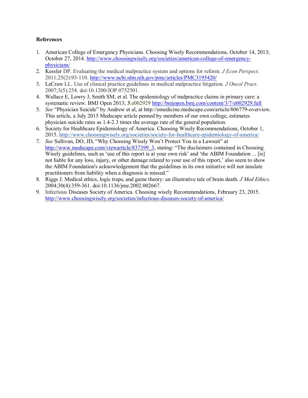#### **References**

- 1. American College of Emergency Physicians. Choosing Wisely Recommendations, October 14, 2013; October 27, 2014. [http://www.choosingwisely.org/societies/american-college-of-emergency](http://www.choosingwisely.org/societies/american-college-of-emergency-physicians/)[physicians/](http://www.choosingwisely.org/societies/american-college-of-emergency-physicians/)
- 2. Kessler DP. Evaluating the medical malpractice system and options for reform. *J Econ Perspect*. 2011;25(2):93-110.<http://www.ncbi.nlm.nih.gov/pmc/articles/PMC3195420/>
- 3. LeCraw LL. Use of clinical practice guidelines in medical malpractice litigation. *J Oncol Pract*. 2007;3(5):254. doi:10.1200/JOP.0752501.
- 4. Wallace E, Lowry J, Smith SM, et al. The epidemiology of malpractice claims in primary care: a systematic review. BMJ Open 2013; **3**:e002929 <http://bmjopen.bmj.com/content/3/7/e002929.full>
- 5. *See* "Physician Suicide" by Andrew et al, at http://emedicine.medscape.com/article/806779-overview. This article, a July 2015 Medscape article penned by members of our own college, estimates physician suicide rates as 1.4-2.3 times the average rate of the general population.
- 6. Society for Healthcare Epidemiology of America. Choosing Wisely Recommendations, October 1, 2015.<http://www.choosingwisely.org/societies/society-for-healthcare-epidemiology-of-america/>
- 7. *See* Sullivan, DO, JD, "Why Choosing Wisely Won't Protect You in a Lawsuit" at [http://www.medscape.com/viewarticle/837399\\_3,](http://www.medscape.com/viewarticle/837399_3) stating: "The disclaimers contained in Choosing Wisely guidelines, such as 'use of this report is at your own risk' and 'the ABIM Foundation ... [is] not liable for any loss, injury, or other damage related to your use of this report,' also seem to show the ABIM Foundation's acknowledgement that the guidelines in its own initiative will not insulate practitioners from liability when a diagnosis is missed."
- 8. Riggs J. Medical ethics, logic traps, and game theory: an illustrative tale of brain death. *J Med Ethics*. 2004;30(4):359-361. doi:10.1136/jme.2002.002667.
- 9. Infectious Diseases Society of America. Choosing wisely Recommendations, February 23, 2015. <http://www.choosingwisely.org/societies/infectious-diseases-society-of-america/>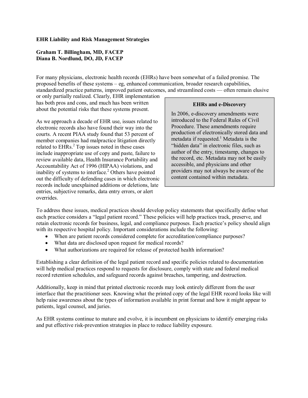#### **EHR Liability and Risk Management Strategies**

#### **Graham T. Billingham, MD, FACEP Diana B. Nordlund, DO, JD, FACEP**

For many physicians, electronic health records (EHRs) have been somewhat of a failed promise. The proposed benefits of these systems – eg, enhanced communication, broader research capabilities, standardized practice patterns, improved patient outcomes, and streamlined costs — often remain elusive

or only partially realized. Clearly, EHR implementation has both pros and cons, and much has been written about the potential risks that these systems present.

As we approach a decade of EHR use, issues related to electronic records also have found their way into the courts. A recent PIAA study found that 53 percent of member companies had malpractice litigation directly related to EHRs.<sup>2</sup> Top issues noted in these cases include inappropriate use of copy and paste, failure to review available data, Health Insurance Portability and Accountability Act of 1996 (HIPAA) violations, and inability of systems to interface.<sup>2</sup> Others have pointed out the difficulty of defending cases in which electronic records include unexplained additions or deletions, late entries, subjective remarks, data entry errors, or alert overrides.

**EHRs and e-Discovery**

In 2006, e-discovery amendments were introduced to the Federal Rules of Civil Procedure. These amendments require production of electronically stored data and metadata if requested.<sup>1</sup> Metadata is the "hidden data" in electronic files, such as author of the entry, timestamp, changes to the record, etc. Metadata may not be easily accessible, and physicians and other providers may not always be aware of the content contained within metadata.

To address these issues, medical practices should develop policy statements that specifically define what each practice considers a "legal patient record." These policies will help practices track, preserve, and retain electronic records for business, legal, and compliance purposes. Each practice's policy should align with its respective hospital policy. Important considerations include the following:

- When are patient records considered complete for accreditation/compliance purposes?
- What data are disclosed upon request for medical records?
- What authorizations are required for release of protected health information?

Establishing a clear definition of the legal patient record and specific policies related to documentation will help medical practices respond to requests for disclosure, comply with state and federal medical record retention schedules, and safeguard records against breaches, tampering, and destruction.

Additionally, keep in mind that printed electronic records may look entirely different from the user interface that the practitioner sees. Knowing what the printed copy of the legal EHR record looks like will help raise awareness about the types of information available in print format and how it might appear to patients, legal counsel, and juries.

As EHR systems continue to mature and evolve, it is incumbent on physicians to identify emerging risks and put effective risk-prevention strategies in place to reduce liability exposure.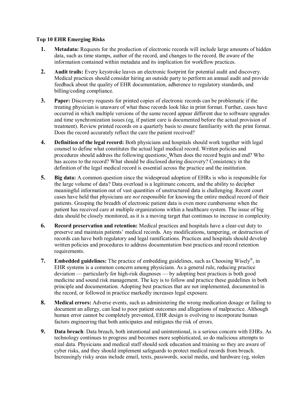#### **Top 10 EHR Emerging Risks**

- **1. Metadata:** Requests for the production of electronic records will include large amounts of hidden data, such as time stamps, author of the record, and changes to the record. Be aware of the information contained within metadata and its implication for workflow practices.
- **2. Audit trails:** Every keystroke leaves an electronic footprint for potential audit and discovery. Medical practices should consider hiring an outside party to perform an annual audit and provide feedback about the quality of EHR documentation, adherence to regulatory standards, and billing/coding compliance.
- **3. Paper:** Discovery requests for printed copies of electronic records can be problematic if the treating physician is unaware of what these records look like in print format. Further, cases have occurred in which multiple versions of the same record appear different due to software upgrades and time synchronization issues (eg, if patient care is documented before the actual provision of treatment). Review printed records on a quarterly basis to ensure familiarity with the print format. Does the record accurately reflect the care the patient received?
- **4. Definition of the legal record:** Both physicians and hospitals should work together with legal counsel to define what constitutes the actual legal medical record. Written policies and procedures should address the following questions: When does the record begin and end? Who has access to the record? What should be disclosed during discovery? Consistency in the definition of the legal medical record is essential across the practice and the institution.
- **5. Big data:** A common question since the widespread adoption of EHRs is who is responsible for the large volume of data? Data overload is a legitimate concern, and the ability to decipher meaningful information out of vast quantities of unstructured data is challenging. Recent court cases have held that physicians are *not* responsible for knowing the entire medical record of their patients. Grasping the breadth of electronic patient data is even more cumbersome when the patient has received care at multiple organizations within a healthcare system. The issue of big data should be closely monitored, as it is a moving target that continues to increase in complexity.
- **6. Record preservation and retention:** Medical practices and hospitals have a clear-cut duty to preserve and maintain patients' medical records. Any modifications, tampering, or destruction of records can have both regulatory and legal ramifications. Practices and hospitals should develop written policies and procedures to address documentation best practices and record retention requirements.
- **7. Embedded guidelines:** The practice of embedding guidelines, such as Choosing Wisely®, in EHR systems is a common concern among physicians. As a general rule, reducing practice deviation — particularly for high-risk diagnoses — by adopting best practices is both good medicine and sound risk management. The key is to follow and practice these guidelines in both principle and documentation. Adopting best practices that are not implemented, documented in the record, or followed in practice markedly increases legal exposure.
- **8. Medical errors:** Adverse events, such as administering the wrong medication dosage or failing to document an allergy, can lead to poor patient outcomes and allegations of malpractice. Although human error cannot be completely prevented, EHR design is evolving to incorporate human factors engineering that both anticipates and mitigates the risk of errors.
- **9. Data breach**: Data breach, both intentional and unintentional, is a serious concern with EHRs. As technology continues to progress and becomes more sophisticated, so do malicious attempts to steal data. Physicians and medical staff should seek education and training so they are aware of cyber risks, and they should implement safeguards to protect medical records from breach. Increasingly risky areas include email, texts, passwords, social media, and hardware (eg, stolen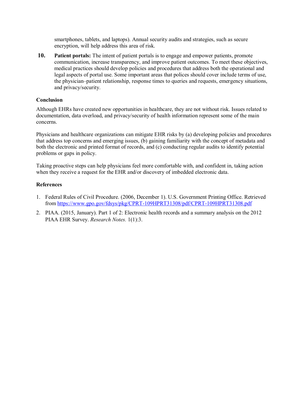smartphones, tablets, and laptops). Annual security audits and strategies, such as secure encryption, will help address this area of risk.

**10. Patient portals:** The intent of patient portals is to engage and empower patients, promote communication, increase transparency, and improve patient outcomes. To meet these objectives, medical practices should develop policies and procedures that address both the operational and legal aspects of portal use. Some important areas that polices should cover include terms of use, the physician–patient relationship, response times to queries and requests, emergency situations, and privacy/security.

# **Conclusion**

Although EHRs have created new opportunities in healthcare, they are not without risk. Issues related to documentation, data overload, and privacy/security of health information represent some of the main concerns.

Physicians and healthcare organizations can mitigate EHR risks by (a) developing policies and procedures that address top concerns and emerging issues, (b) gaining familiarity with the concept of metadata and both the electronic and printed format of records, and (c) conducting regular audits to identify potential problems or gaps in policy.

Taking proactive steps can help physicians feel more comfortable with, and confident in, taking action when they receive a request for the EHR and/or discovery of imbedded electronic data.

#### **References**

- 1. Federal Rules of Civil Procedure. (2006, December 1). U.S. Government Printing Office. Retrieved from <https://www.gpo.gov/fdsys/pkg/CPRT-109HPRT31308/pdf/CPRT-109HPRT31308.pdf>
- 2. PIAA. (2015, January). Part 1 of 2: Electronic health records and a summary analysis on the 2012 PIAA EHR Survey. *Research Notes.* 1(1):3.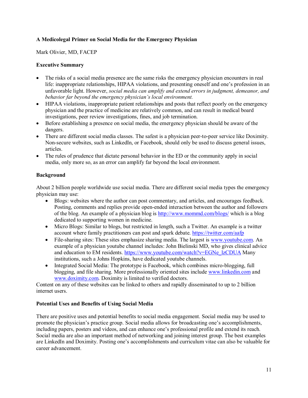# **A Medicolegal Primer on Social Media for the Emergency Physician**

Mark Olivier, MD, FACEP

# **Executive Summary**

- The risks of a social media presence are the same risks the emergency physician encounters in real life: inappropriate relationships, HIPAA violations, and presenting oneself and one's profession in an unfavorable light. However, *social media can amplify and extend errors in judgment, demeanor, and behavior far beyond the emergency physician's local environment.*
- HIPAA violations, inappropriate patient relationships and posts that reflect poorly on the emergency physician and the practice of medicine are relatively common, and can result in medical board investigations, peer review investigations, fines, and job termination.
- Before establishing a presence on social media, the emergency physician should be aware of the dangers.
- There are different social media classes. The safest is a physician peer-to-peer service like Doximity. Non-secure websites, such as LinkedIn, or Facebook, should only be used to discuss general issues, articles.
- The rules of prudence that dictate personal behavior in the ED or the community apply in social media, only more so, as an error can amplify far beyond the local environment.

# **Background**

About 2 billion people worldwide use social media. There are different social media types the emergency physician may use:

- Blogs: websites where the author can post commentary, and articles, and encourages feedback. Posting, comments and replies provide open-ended interaction between the author and followers of the blog. An example of a physician blog is<http://www.mommd.com/blogs/> which is a blog dedicated to supporting women in medicine.
- Micro Blogs: Similar to blogs, but restricted in length, such a Twitter. An example is a twitter account where family practitioners can post and spark debate.<https://twitter.com/aafp>
- File-sharing sites: These sites emphasize sharing media. The largest is [www.youtube.com.](http://www.youtube.com/) An example of a physician youtube channel includes: John Bielinski MD, who gives clinical advice and education to EM residents. [https://www.youtube.com/watch?v=EGNe\\_lzCDUA](https://www.youtube.com/watch?v=EGNe_lzCDUA) Many institutions, such a Johns Hopkins, have dedicated youtube channels.
- Integrated Social Media: The prototype is Facebook, which combines micro-blogging, full blogging, and file sharing. More professionally oriented sites include [www.linkedin.com](http://www.linkedin.com/) and [www.doximity.com.](http://www.doximity.com/) Doximity is limited to verified doctors.

Content on any of these websites can be linked to others and rapidly disseminated to up to 2 billion internet users.

# **Potential Uses and Benefits of Using Social Media**

There are positive uses and potential benefits to social media engagement. Social media may be used to promote the physician's practice group. Social media allows for broadcasting one's accomplishments, including papers, posters and videos, and can enhance one's professional profile and extend its reach. Social media are also an important method of networking and joining interest group. The best examples are LinkedIn and Doximity. Posting one's accomplishments and curriculum vitae can also be valuable for career advancement.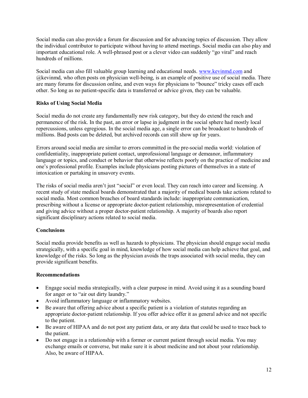Social media can also provide a forum for discussion and for advancing topics of discussion. They allow the individual contributor to participate without having to attend meetings. Social media can also play and important educational role. A well-phrased post or a clever video can suddenly "go viral" and reach hundreds of millions.

Social media can also fill valuable group learning and educational needs. [www.kevinmd.com](http://www.kevinmd.com/) and @kevinmd, who often posts on physician well-being, is an example of positive use of social media. There are many forums for discussion online, and even ways for physicians to "bounce" tricky cases off each other. So long as no patient-specific data is transferred or advice given, they can be valuable.

# **Risks of Using Social Media**

Social media do not create any fundamentally new risk category, but they do extend the reach and permanence of the risk. In the past, an error or lapse in judgment in the social sphere had mostly local repercussions, unless egregious. In the social media age, a single error can be broadcast to hundreds of millions. Bad posts can be deleted, but archived records can still show up for years.

Errors around social media are similar to errors committed in the pre-social media world: violation of confidentiality, inappropriate patient contact, unprofessional language or demeanor, inflammatory language or topics, and conduct or behavior that otherwise reflects poorly on the practice of medicine and one's professional profile. Examples include physicians posting pictures of themselves in a state of intoxication or partaking in unsavory events.

The risks of social media aren't just "social" or even local. They can reach into career and licensing. A recent study of state medical boards demonstrated that a majority of medical boards take actions related to social media. Most common breaches of board standards include: inappropriate communication, prescribing without a license or appropriate doctor-patient relationship, misrepresentation of credential and giving advice without a proper doctor-patient relationship. A majority of boards also report significant disciplinary actions related to social media.

# **Conclusions**

Social media provide benefits as well as hazards to physicians. The physician should engage social media strategically, with a specific goal in mind, knowledge of how social media can help achieve that goal, and knowledge of the risks. So long as the physician avoids the traps associated with social media, they can provide significant benefits.

#### **Recommendations**

- Engage social media strategically, with a clear purpose in mind. Avoid using it as a sounding board for anger or to "air out dirty laundry."
- Avoid inflammatory language or inflammatory websites.
- Be aware that offering advice about a specific patient is a violation of statutes regarding an appropriate doctor-patient relationship. If you offer advice offer it as general advice and not specific to the patient.
- Be aware of HIPAA and do not post any patient data, or any data that could be used to trace back to the patient.
- Do not engage in a relationship with a former or current patient through social media. You may exchange emails or converse, but make sure it is about medicine and not about your relationship. Also, be aware of HIPAA.